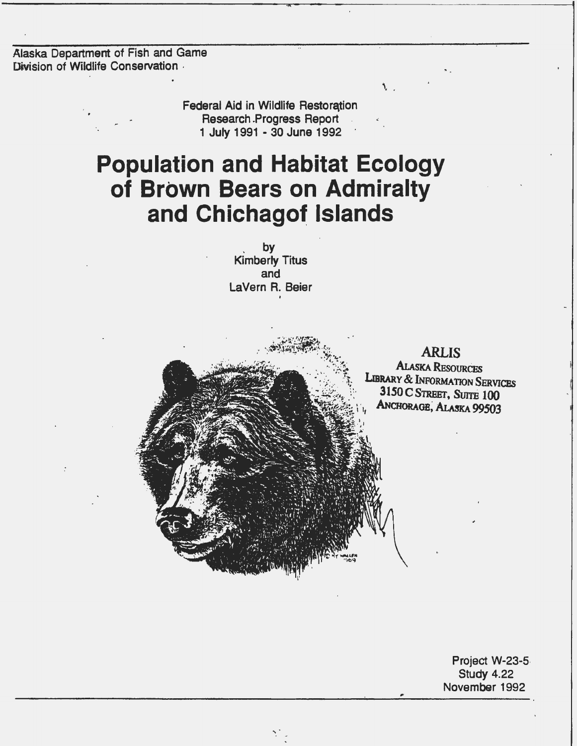Alaska Department of Fish and Game Division of Wildlife Conservation

> Federal Aid in Wildlife Restoration Research .Progress Report 1 July 1991 - 30 June 1992 ·

# **Population and Habitat Ecology of Brown Bears on Admiralty and Chichagor Islands**

. by Kimberly Titus and LaVern R. Beier •

,.

**ARLIS ALASKA RESOURCES** LIBRARY & INFORMATION SERVICES 3150 C STREET, SUITE 100 ANCHORAGE, ALASKA 99503

 $\mathcal{L}$ 

Project W-23-5· Study 4.22 November 1992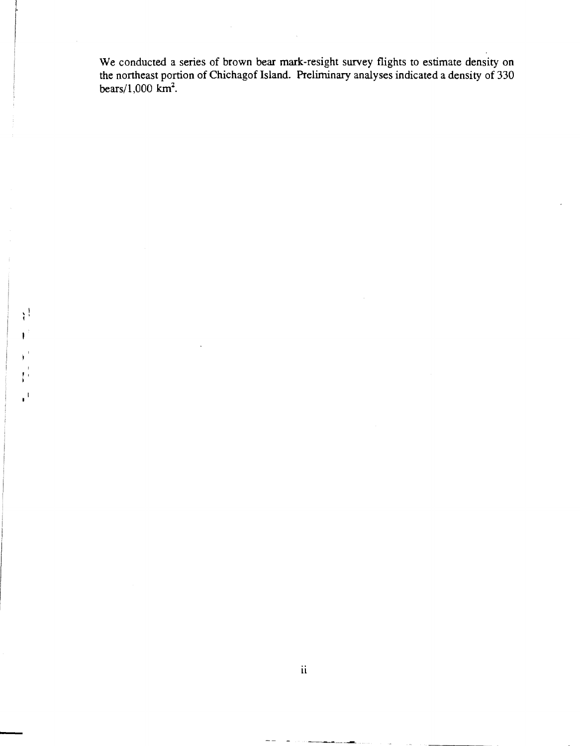We conducted a series of brown bear mark-resight survey flights to estimate density on the northeast portion of Chichagof Island. Preliminary analyses indicated a density of 330 bears/ $1,000$  km<sup>2</sup>.

 $\mathbf{i}$ 

 $\mathbf{I}$ 

 $\mathbf{r}^{\mathbf{r}}$ 

I  $\mathbf{F}$ i<br>I I<br>I I

-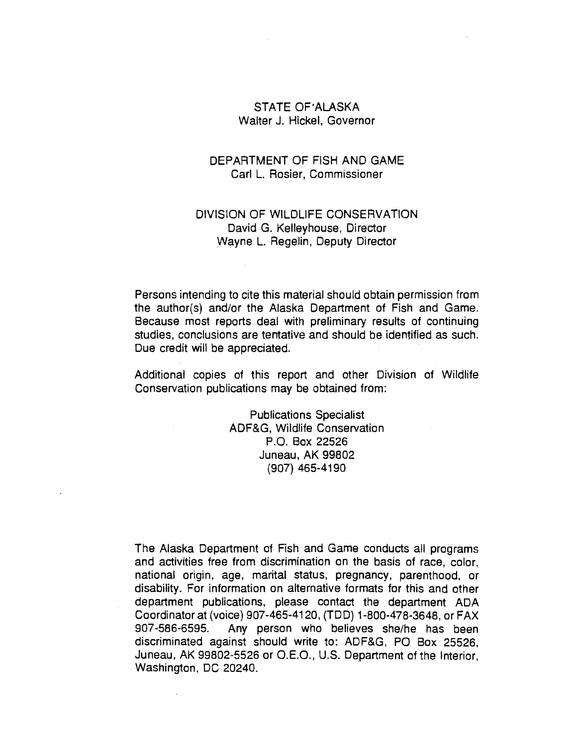## STATE OF'ALASKA Walter J. Hickel, Governor

## DEPARTMENT OF FISH AND GAME Carl L. Rosier, Commissioner

## DIVISION OF WILDLIFE CONSERVATION David G. Kelleyhouse, Director Wayne L. Regelin, Deputy Director

Persons intending to cite this material should obtain permission from the author(s) and/or the Alaska Department of Fish and Game. Because most reports deal with preliminary results of continuing studies, conclusions are tentative and should be identified as such. Due credit will be appreciated.

Additional copies of this report and other Division of Wildlife Conservation publications may be obtained from:

> Publications Specialist ADF&G, Wildlife Conservation P.O. Box 22526 Juneau, AK 99802 (907) 465-4190

The Alaska Department of Fish and Game conducts all programs and activities free from discrimination on the basis of race, color, national origin, age, marital status, pregnancy, parenthood, or disability. For information on alternative formats for this and other department publications, please contact the department ADA Coordinator at (voice) 907-465-4120, (TOO) 1-800-478-3648, or FAX 907-586-6595. Any person who believes she/he has been discriminated against should write to: ADF&G, PO Box 25526, Juneau, AK 99802-5526 or O.E.O., U.S. Department of the Interior, Washington, DC 20240.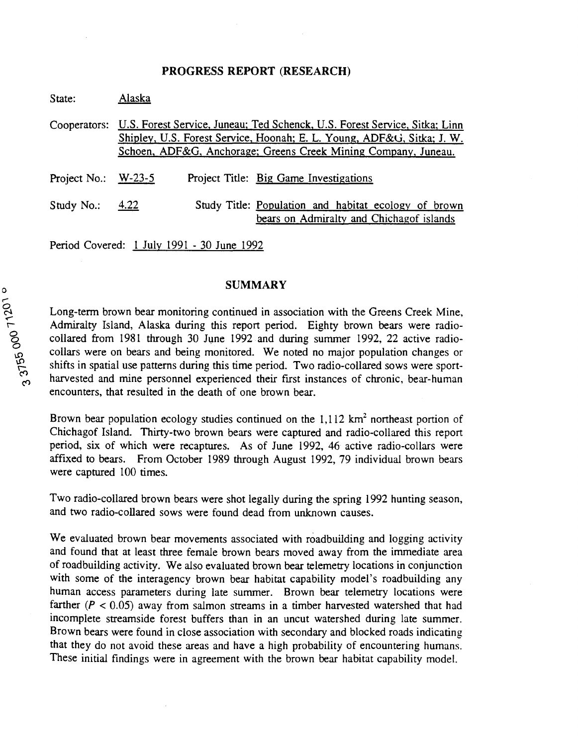#### **PROGRESS REPORT (RESEARCH)**

| State:                | Alaska |                                                                                                                                                                                                                        |
|-----------------------|--------|------------------------------------------------------------------------------------------------------------------------------------------------------------------------------------------------------------------------|
| Cooperators:          |        | U.S. Forest Service, Juneau; Ted Schenck, U.S. Forest Service, Sitka; Linn<br>Shipley, U.S. Forest Service, Hoonah; E. L. Young, ADF&G, Sitka; J. W.<br>Schoen, ADF&G, Anchorage; Greens Creek Mining Company, Juneau. |
| Project No.: $W-23-5$ |        | Project Title: Big Game Investigations                                                                                                                                                                                 |
| Study No.:            | 4.22   | Study Title: Population and habitat ecology of brown<br>bears on Admiralty and Chichagof islands                                                                                                                       |

Period Covered: 1 July 1991 - 30 June 1992

## **SUMMARY**

Long-term brown bear monitoring continued in association with the Greens Creek Mine, Admiralty Island, Alaska during this report period. Eighty brown bears were radiocollared from 1981 through 30 June 1992 and during summer 1992, 22 active radiocollars were on bears and being monitored. We noted no major population changes or shifts in spatial use patterns during this time period. Two radio-collared sows were sportharvested and mine personnel experienced their first instances of chronic, bear-human encounters, that resulted in the death of one brown bear.

Brown bear population ecology studies continued on the  $1,112 \text{ km}^2$  northeast portion of Chichagof Island. Thirty-two brown bears were captured and radio-collared this report period, six of which were recaptures. As of June 1992, 46 active radio-collars were affixed to bears. From October 1989 through August 1992, 79 individual brown bears were captured 100 times.

Two radio-collared brown bears were shot legally during the spring 1992 hunting season, and two radio-collared sows were found dead from unknown causes.

We evaluated brown bear movements associated with roadbuilding and logging activity and found that at least three female brown bears moved away from the immediate area of roadbuilding activity. We also evaluated brown bear telemetry locations in conjunction with some of the interagency brown bear habitat capability model's roadbuilding any human access parameters during late summer. Brown bear telemetry locations were farther ( $P < 0.05$ ) away from salmon streams in a timber harvested watershed that had incomplete streamside forest buffers than in an uncut watershed during late summer. Brown bears were found in close association with secondary and blocked roads indicating that they do not avoid these areas and have a high probability of encountering humans. These initial findings were in agreement with the brown bear habitat capability model.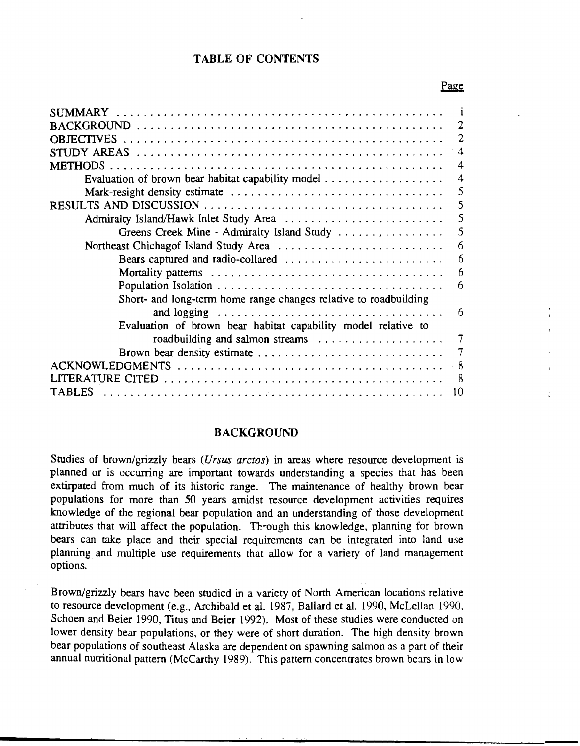## TABLE OF CONTENTS

#### Page

| ECTIVES                                                          | $\overline{2}$ |
|------------------------------------------------------------------|----------------|
|                                                                  |                |
|                                                                  | 4              |
| <b>METHODS</b>                                                   | 4              |
|                                                                  | 4              |
|                                                                  | 5              |
|                                                                  | 5              |
|                                                                  | 5              |
| Greens Creek Mine - Admiralty Island Study                       | 5              |
| Northeast Chichagof Island Study Area                            | 6              |
| Bears captured and radio-collared                                | 6              |
|                                                                  | 6              |
|                                                                  | 6              |
| Short- and long-term home range changes relative to roadbuilding |                |
|                                                                  | 6              |
| Evaluation of brown bear habitat capability model relative to    |                |
| roadbuilding and salmon streams                                  |                |
| Brown bear density estimate                                      | 7              |
|                                                                  | 8              |
| 'ERATURE CITED                                                   | 8              |
| TARI ES                                                          | 10             |
|                                                                  |                |

## BACKGROUND

Studies of brown/grizzly bears *(Ursus arctos)* in areas where resource development is planned or is occurring are important towards understanding a species that has been extirpated from much of its historic range. The maintenance of healthy brown bear populations for more than 50 years amidst resource development activities requires knowledge of the regional bear population and an understanding of those development attributes that will affect the population. Through this knowledge, planning for brown bears can take place and their special requirements can be integrated into land use planning and multiple use requirements that allow for a variety of land management options.

Brown/grizzly bears have been studied in a variety of North American locations relative to resource development (e.g., Archibald et al. 1987, Ballard et al. 1990, McLellan 1990, Schoen and Beier 1990, Titus and Beier 1992). Most of these studies were conducted on lower density bear populations, or they were of short duration. The high density brown bear populations of southeast Alaska are dependent on spawning salmon as a part of their annual nutritional pattern (McCarthy 1989). This pattern concentrates brown bears in low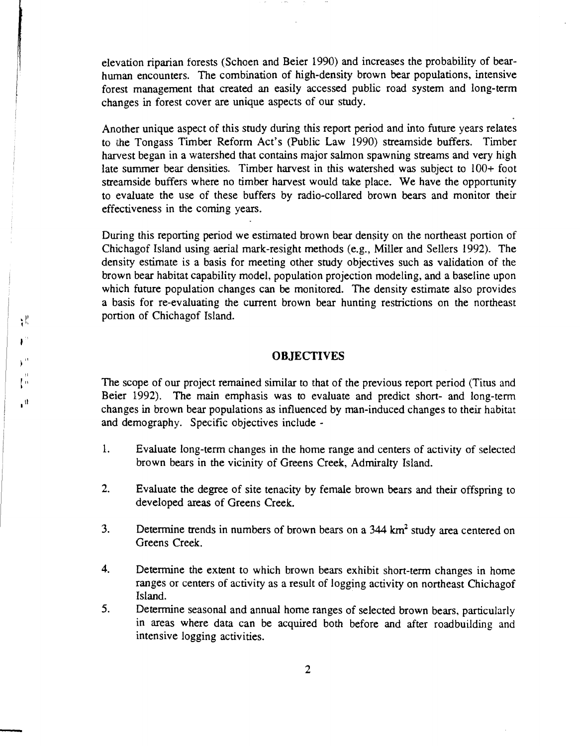elevation riparian forests (Schoen and Beier 1990) and increases the probability of bearhuman encounters. The combination of high-density brown bear populations, intensive forest management that created an easily accessed public road system and long-term changes in forest cover are unique aspects of our study.

Another unique aspect of this study during this report period and into future years relates to the Tongass Timber Reform Act's (Public Law 1990) streamside buffers. Timber harvest began in a watershed that contains major salmon spawning streams and very high late summer bear densities. Timber harvest in this watershed was subject to 100+ foot streamside buffers where no timber harvest would take place. We have the opportunity to evaluate the use of these buffers by radio-collared brown bears and monitor their effectiveness in the coming years.

During this reporting period we estimated brown bear density on the northeast portion of Chichagof Island using aerial mark-resight methods (e.g., Miller and Sellers 1992). The density estimate is a basis for meeting other study objectives such as validation of the brown bear habitat capability model, population projection modeling, and a baseline upon which future population changes can be monitored. The density estimate also provides a basis for re-evaluating the current brown bear hunting restrictions on the northeast portion of Chichagof Island.

#### **OBJECTIVES**

The scope of our project remained similar to that of the previous report period (Titus and Beier 1992). The main emphasis was to evaluate and predict short- and long-term changes in brown bear populations as influenced by man-induced changes to their habitat and demography. Specific objectives include -

 $\int_0^{\pi}$ 

 $\mathbf{H}$ 

₹ľ.

 $\mathbf{F}^{\mathrm{in}}$ 

-

- 1. Evaluate long-term changes in the home range and centers of activity of selected brown bears in the vicinity of Greens Creek, Admiralty Island.
- 2. Evaluate the degree of site tenacity by female brown bears and their offspring to developed areas of Greens Creek.
- 3. Determine trends in numbers of brown bears on a 344 km<sup>2</sup> study area centered on Greens Creek.
- 4. Determine the extent to which brown bears exhibit short-term changes in home ranges or centers of activity as a result of logging activity on northeast Chichagof Island.
- 5. Determine seasonal and annual home ranges of selected brown bears, particularly in areas where data can be acquired both before and after roadbuilding and intensive logging activities.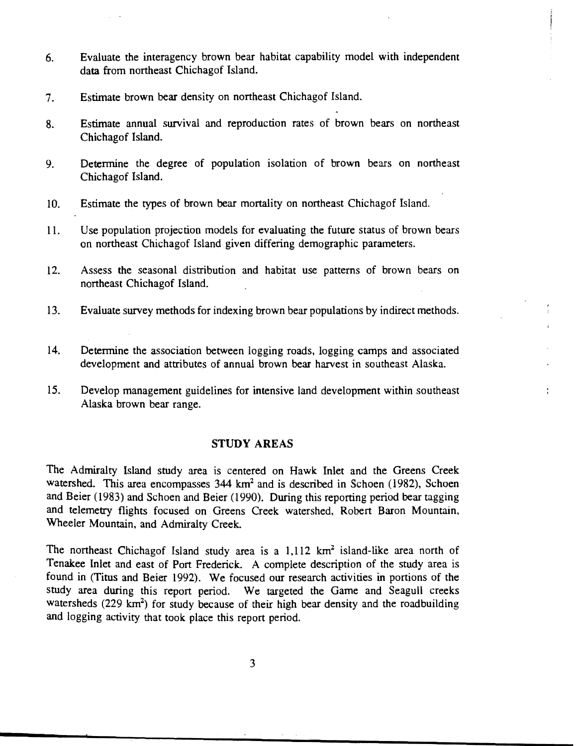- 6. Evaluate the interagency brown bear habitat capability model with independent data from northeast Chichagof Island.
- 7. Estimate brown bear density on northeast Chichagof Island.
- 8. Estimate annual survival and reproduction rates of brown bears on northeast Chichagof Island.
- 9. Determine the degree of population isolation of brown bears on northeast Chichagof Island.
- 10. Estimate the types of brown bear mortality on northeast Chichagof Island.
- 11. Use population projection models for evaluating the future status of brown bears on northeast Chichagof Island given differing demographic parameters.
- 12. Assess the seasonal distribution and habitat use patterns of brown bears on northeast Chichagof Island.
- 13. Evaluate survey methods for indexing brown bear populations by indirect methods.
- 14. Determine the association between logging roads, logging camps and associated development and attributes of annual brown bear harvest in southeast Alaska.
- 15. Develop management guidelines for intensive land development within southeast Alaska brown bear range.

## **STUDY AREAS**

The Admiralty Island study area is centered on Hawk Inlet and the Greens Creek watershed. This area encompasses 344 km<sup>2</sup> and is described in Schoen (1982), Schoen and Beier (1983) and Schoen and Beier (1990). During this reporting period bear tagging and telemetry flights focused on Greens Creek watershed, Robert Baron Mountain, Wheeler Mountain, and Admiralty Creek.

The northeast Chichagof Island study area is a  $1,112$  km<sup>2</sup> island-like area north of Tenakee Inlet and east of Port Frederick. A complete description of the study area is found in (Titus and Beier 1992). We focused our research activities in portions of the study area during this report period. We targeted the Game and Seagull creeks watersheds (229  $km^2$ ) for study because of their high bear density and the roadbuilding and logging activity that took place this report period.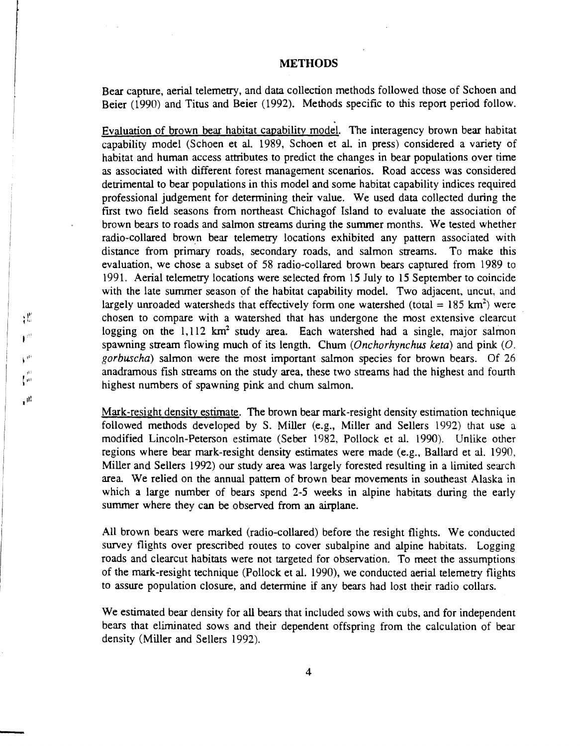## **METHODS**

Bear capture, aerial telemetry, and data collection methods followed those of Schoen and Beier (1990) and Titus and Beier (1992). Methods specific to this report period follow.

Evaluation of brown bear habitat capability model. The interagency brown bear habitat capability model (Schoen et al. 1989, Schoen et al. in press) considered a variety of habitat and human access attributes to predict the changes in bear populations over time as associated with different forest management scenarios. Road access was considered detrimental to bear populations in this model and some habitat capability indices required professional judgement for determining their value. We used data collected during the first two field seasons from northeast Chichagof Island to evaluate the association of brown bears to roads and salmon streams during the summer months. We tested whether radio-collared brown bear telemetry locations exhibited any pattern associated with distance from primary roads, secondary roads, and salmon streams. To make this evaluation, we chose a subset of 58 radio-collared brown bears captured from 1989 to 1991. Aerial telemetry locations were selected from 15 July to 15 September to coincide with the late summer season of the habitat capability model. Two adjacent, uncut, and largely unroaded watersheds that effectively form one watershed (total =  $185 \text{ km}^2$ ) were chosen to compare with a watershed that has undergone the most extensive clearcut logging on the 1,112 km<sup>2</sup> study area. Each watershed had a single, major salmon spawning stream flowing much of its length. Chum (Onchorhynchus keta) and pink  $(O)$ . gorbuscha) salmon were the most important salmon species for brown bears. Of 26 anadramous fish streams on the study area, these two streams had the highest and fourth highest numbers of spawning pink and chum salmon.

Mark-resight density estimate. The brown bear mark-resight density estimation technique followed methods developed by S. Miller (e.g., Miller and Sellers 1992) that use a modified Lincoln-Peterson estimate (Seber 1982, Pollock et al. 1990). Unlike other regions where bear mark-resight density estimates were made (e.g., Ballard et al. 1990, Miller and Sellers 1992) our study area was largely forested resulting in a limited search area. We relied on the annual pattern of brown bear movements in southeast Alaska in which a large number of bears spend 2-5 weeks in alpine habitats during the early summer where they can be observed from an airplane.

All brown bears were marked (radio-collared) before the resight flights. We conducted survey flights over prescribed routes to cover subalpine and alpine habitats. Logging roads and clearcut habitats were not targeted for observation. To meet the assumptions of the mark-resight technique (Pollock et al. 1990), we conducted aerial telemetry flights to assure population closure, and determine if any bears had lost their radio collars.

We estimated bear density for all bears that included sows with cubs, and for independent bears that eliminated sows and their dependent offspring from the calculation of bear density (Miller and Sellers 1992).

-

γË  $\mathbf{F}^{\mathcal{O}}$ 

 $\mathbf{t}^{(i)}$ 

 $\sqrt{2}$ 

 $\mathbf{u}^{\dagger}$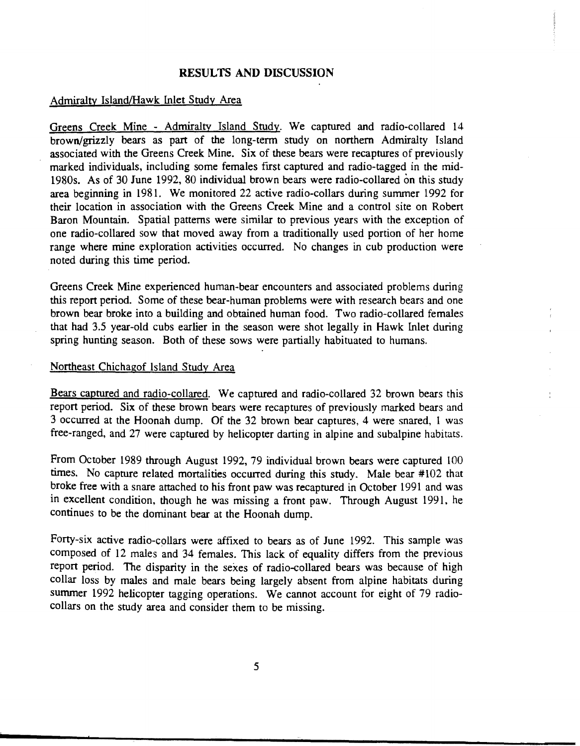#### **RESULTS** AND DISCUSSION

#### Admiralty Island/Hawk lnlet Study Area

Greens Creek Mine - Admiralty Island Study. We captured and radio-collared 14 brown/grizzly bears as part of the long-term study on northern Admiralty Island associated with the Greens Creek Mine. Six of these bears were recaptures of previously marked individuals, including some females first captured and radio-tagged in the mid-1980s. As of 30 June 1992, 80 individual brown bears were radio-collared on this study area beginning in 198L We monitored 22 active radio-collars during summer 1992 for their location in association with the Greens Creek Mine and a control site on Robert Baron Mountain. Spatial patterns were similar to previous years with the exception of one radio-collared sow that moved away from a traditionally used portion of her home range where mine exploration activities occurred. No changes in cub production were noted during this time period.

Greens Creek Mine experienced human-bear encounters and associated problems during this report period. Some of these bear-human problems were with research bears and one brown bear broke into a building and obtained human food. Two radio-collared females that had 3.5 year-old cubs earlier in the season were shot legally in Hawk lnlet during spring hunting season. Both of these sows were partially habituated to humans.

#### Northeast Chichagof Island *Study* Area

Bears captured and radio-collared. We captured and radio-collared 32 brown bears this report period. Six of these brown bears were recaptures of previously marked bears and 3 occurred at the Hoonah dump. Of the 32 brown bear captures, 4 were snared, 1 was free-ranged, and 27 were captured by helicopter darting in alpine and subalpine habitats.

From October 1989 through August 1992, 79 fndividual brown bears were captured 100 times. No capture related mortalities occurred during this study. Male bear #102 that broke free with a snare attached to his front paw was recaptured in October 1991 and was in excellent condition, though he was missing a front paw. Through August 1991, he continues to be the dominant bear at the Hoonah dump.

Forty-six active radio-collars were affixed to bears as of June 1992. This sample was composed of 12 males and 34 females. This lack of equality differs from the previous report period. The disparity in the sexes of radio-collared bears was because of high collar loss by males and male bears being largely absent from alpine habitats during summer 1992 helicopter tagging operations. We cannot account for eight of 79 radiocollars on the study area and consider them to be missing.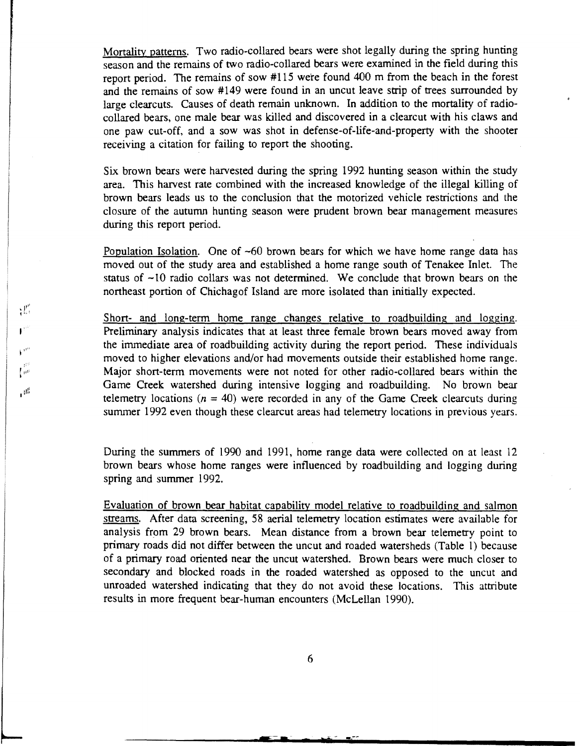Mortality patterns. Two radio-collared bears were shot legally during the spring hunting season and the remains of two radio-collared bears were examined in the field during this report period. The remains of sow #115 were found 400 m from the beach in the forest and the remains of sow #149 were found in an uncut leave strip of trees surrounded by large clearcuts. Causes of death remain unknown. In addition to the mortality of radiocollared bears, one male bear was killed and discovered in a clearcut with his claws and one paw cut-off, and a sow was shot in defense-of-life-and-property with the shooter receiving a citation for failing to report the shooting.

Six brown bears were harvested during the spring 1992 hunting season within the study area. This harvest rate combined with the increased knowledge of the illegal killing of brown bears leads us to the conclusion that the motorized vehicle restrictions and the closure of the autumn hunting season were prudent brown bear management measures during this report period.

Population Isolation. One of  $-60$  brown bears for which we have home range data has moved out of the study area and established a home range south of Tenakee Inlet. The status of  $\sim$ 10 radio collars was not determined. We conclude that brown bears on the northeast portion of Chichagof Island are more isolated than initially expected.

Short- and long-term home range changes relative to roadbuilding and logging. Preliminary analysis indicates that at least three female brown bears moved away from the immediate area of roadbuilding activity during the report period. These individuals moved to higher elevations and/or had movements outside their established home range. Major short-term movements were not noted for other radio-collared bears within the Game Creek watershed during intensive logging and roadbuilding. No brown bear telemetry locations ( $n = 40$ ) were recorded in any of the Game Creek clearcuts during summer 1992 even though these clearcut areas had telemetry locations in previous years.

 $\mathbf{I}^{\text{eff}}$ 

 $V^{(i)}$  $\int_{0}^{\frac{1}{2}t^{\frac{1}{2}}}$ 

 $\mathbb{H}^1$ 

 $\mathcal{L}^p$ 

During the summers of 1990 and 1991, home range data were collected on at least 12 brown bears whose home ranges were influenced by roadbuilding and logging during spring and summer 1992.

Evaluation of brown bear habitat capability model relative to roadbuilding and salmon streams. After data screening, 58 aerial telemetry location estimates were available for analysis from 29 brown bears. Mean distance from a brown bear telemetry point to primary roads did not differ between the uncut and roaded watersheds (Table l) because of a primary road oriented near the uncut watershed. Brown bears were much closer to secondary and blocked roads in the roaded watershed as opposed to the uncut and unroaded watershed indicating that they do not avoid these locations. This attribute results in more frequent bear-human encounters (McLellan 1990).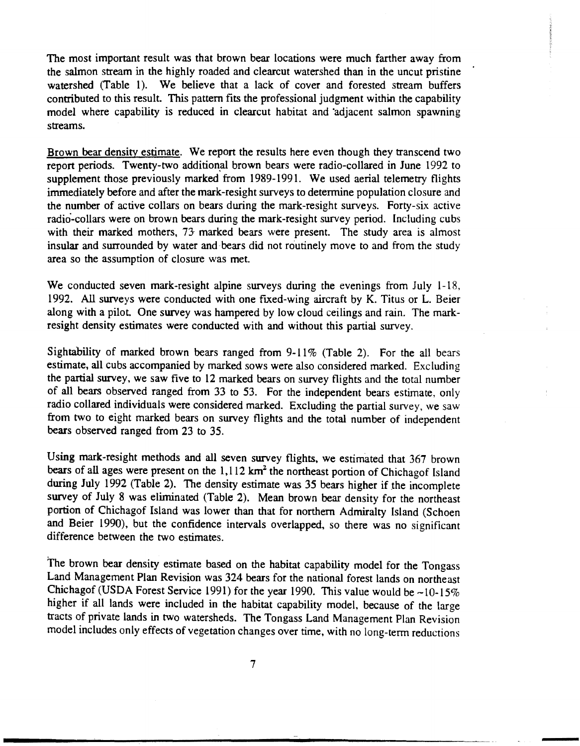The most important result was that brown bear locations were much farther away from the salmon stream in the highly roaded and clearcut watershed than in the uncut pristine watershed (Table 1). We believe that a lack of cover and forested stream buffers contributed to this result. This pattern fits the professional judgment within the capability model where capability is reduced in clearcut habitat and 'adjacent salmon spawning streams.

Brown bear density estimate. We report the results here even though they transcend two report periods. Twenty-two additional brown bears were radio-collared in June 1992 to supplement those previously marked from 1989-1991. We used aerial telemetry flights immediately before and after the mark-resight surveys to determine population closure and the number of active collars on bears during the mark-resight surveys. Forty-six active radio-collars were on brown bears during the mark-resight survey period. Including cubs with their marked mothers, 73- marked bears were present. The study area is almost insular and surrounded by water and bears did not routinely move to and from the study area so the assumption of closure was met.

We conducted seven mark-resight alpine surveys during the evenings from July 1-18, 1992. All surveys were conducted with one fixed-wing aircraft by K. Titus or L. Beier along with a pilot. One survey was hampered by low cloud ceilings and rain. The markresight density estimates were conducted with and without this partial survey.

Sightability of marked brown bears ranged from 9-11% (Table 2). For the all bears estimate, all cubs accompanied by marked sows were also considered marked. Excluding the partial survey, we saw five to 12 marked bears on survey flights and the total number of all bears observed ranged from 33 to 53. For the independent bears estimate, only radio collared individuals were considered marked. Excluding the partial survey, we saw from two to eight marked bears on survey flights and the total number of independent bears observed ranged from 23 to 35.

Using mark-resight methods and all seven survey flights, we estimated that 367 brown bears of all ages were present on the  $1,112 \text{ km}^2$  the northeast portion of Chichagof Island during July 1992 (Table 2). The density estimate was 35 bears higher if the incomplete survey of July 8 was eliminated (Table 2). Mean brown bear density for the northeast portion of Chichagof Island was lower than that for northern Admiralty Island (Schoen and Beier 1990), but the confidence intervals overlapped, so there was no significant difference between the two estimates.

The brown bear density estimate based on the habitat capability model for the Tongass Land Management Plan Revision was 324 bears for the national forest lands on northeast Chichagof (USDA Forest Service 1991) for the year 1990. This value would be  $\sim 10-15\%$ higher if all lands were included in the habitat capability model, because of the large tracts of private lands in two watersheds. The Tongass Land Management Plan Revision model includes only effects of vegetation changes over time, with no long-term reductions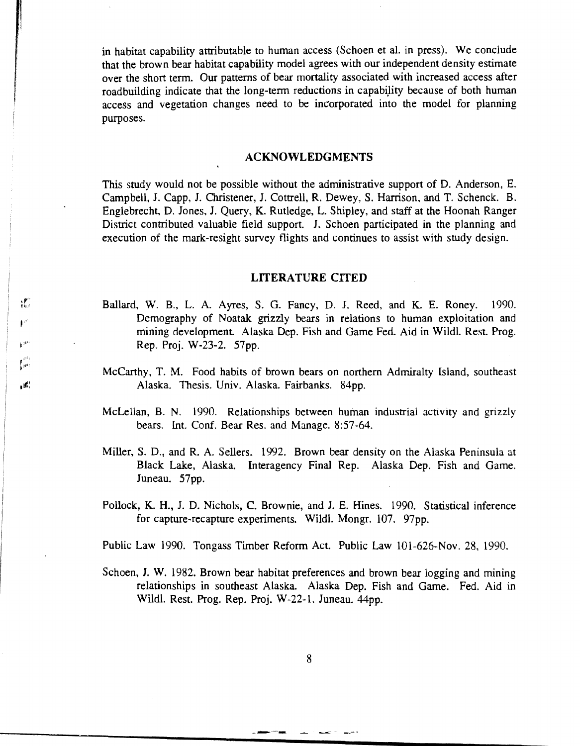in habitat capability attributable to human access (Schoen et al. in press). We conclude that the brown bear habitat capability model agrees with our independent density estimate over the short term. Our patterns of bear mortality associated with increased access after roadbuilding indicate that the long-term reductions in capability because of both human access and vegetation changes need to be incorporated into the model for planning purposes.

#### ACKNOWLEDGMENTS

This study would not be possible without the administrative support of D. Anderson, E. Campbell, J. Capp, J. Christener, J. Cottrell, R. Dewey, S. Harrison, and T. Schenck. B. Englebrecht, D. Jones, J. Query, K. Rutledge, L. Shipley, and staff at the Hoonah Ranger District contributed valuable field support. J. Schoen participated in the planning and execution of the mark-resight survey flights and continues to assist with study design.

#### LITERATURE CITED

Ballard, W. B., L. A. Ayres, S. G. Fancy, D. J. Reed, and K. E. Roney. 1990. Demography of Noatak grizzly bears in relations to human exploitation and mining development. Alaska Dep. Fish and Game Fed. Aid in Wildl. Rest. Prog. Rep. Proj. W-23-2. 57pp.

础  $\mathbf{F}^{\mu}$ 

 $\int_{\mathbb{R}^{3}}$ 

 $\mathbf{R}^{\mathrm{H}}$ 

- McCarthy, T. M. Food habits of brown bears on northern Admiralty Island, southeast Alaska. Thesis. Univ. Alaska. Fairbanks. 84pp.
- McLellan, B. N. 1990. Relationships between human industrial activity and grizzly bears. Int. Conf. Bear Res. and Manage. 8:57-64.
- Miller, S. D., and R. A. Sellers. 1992. Brown bear density on the Alaska Peninsula at Black Lake, Alaska. Interagency Final Rep. Alaska Dep. Fish and Game. Juneau. 57pp.
- Pollock, K. H., J. D. Nichols, C. Brownie, and J. E. Hines. 1990. Statistical inference for capture-recapture experiments. Wildl. Mongr. 107. 97pp.

Public Law 1990. Tongass Timber Reform Act. Public Law 101-626-Nov. 28, 1990.

Schoen, J. W. 1982. Brown bear habitat preferences and brown bear logging and mining relationships in southeast Alaska. Alaska Dep. Fish and Game. Fed. Aid in Wildl. Rest. Prog. Rep. Proj. W -22-l. Juneau. 44pp.

\_.-..-~-- .......... - -..-;; - -..-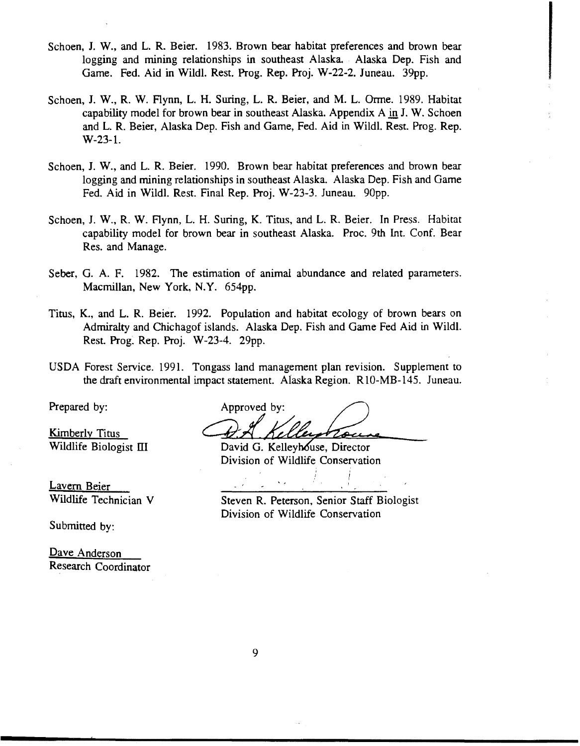- Schoen, J. W., and L. R. Beier. 1983. Brown bear habitat preferences and brown bear logging and mining relationships in southeast Alaska. Alaska Dep. Fish and Game. Fed. Aid in Wildl. Rest. Prog. Rep. Proj. W-22-2. Juneau. 39pp.
- Schoen, J. W., R. W. Flynn, L. H. Suring, L. R. Beier, and M. L. Orme. 1989. Habitat capability model for brown bear in southeast Alaska. Appendix A in J. W. Schoen and L. R. Beier, Alaska Dep. Fish and Game, Fed. Aid in Wildl. Rest. Prog. Rep. W-23-1.
- Schoen, J. W., and L. R. Beier. 1990. Brown bear habitat preferences and brown bear logging and mining relationships in southeast Alaska. Alaska Dep. Fish and Game Fed. Aid in Wildl. Rest. Final Rep. Proj. W-23-3. Juneau. 90pp.
- Schoen, J. W., R. W. Aynn, L. H. Suring, K. Titus, and L. R. Beier. In Press. Habitat capability model for brown bear in southeast Alaska. Proc. 9th Int. Conf. Bear Res. and Manage.
- Seber, G. A. F. 1982. The estimation of animal abundance and related parameters. Macmillan, New York, N.Y. 654pp.
- Titus, K., and L. R. Beier. 1992. Population and habitat ecology of brown bears on Admiralty and Chichagof islands. Alaska Dep. Fish and Game Fed Aid in Wildl. Rest. Prog. Rep. Proj. W-23-4. 29pp.
- USDA Forest Service. 1991. Tongass land management plan revision. Supplement to the draft environmental impact statement. Alaska Region. RlO-MB-145. Juneau.

Lavern Beier

Submitted by:

Dave Anderson Research Coordinator

Prepared by: Approved by: Kimberly Titus **Communist Communist II** Mellew Rouse, Director

Division of Wildlife Conservation

Wildlife Technician V Steven R. Peterson, Senior Staff Biologist Division of Wildlife Conservation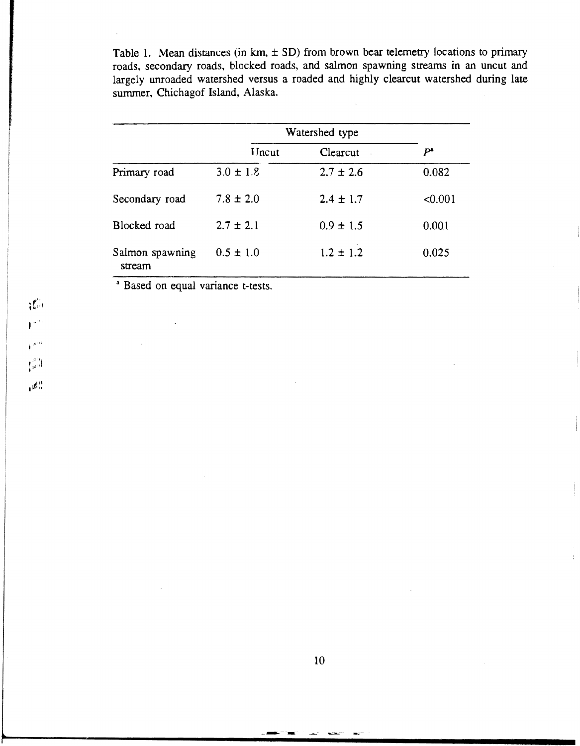Table 1. Mean distances (in km,  $\pm$  SD) from brown bear telemetry locations to primary roads, secondary roads, blocked roads, and salmon spawning streams in an uncut and largely unroaded watershed versus a roaded and highly clearcut watershed during late summer, Chichagof Island, Alaska.

|                           |                | Watershed type |         |  |
|---------------------------|----------------|----------------|---------|--|
|                           | <b>I</b> Incut | Clearcut       | Pª      |  |
| Primary road              | $3.0 \pm 1.8$  | $2.7 \pm 2.6$  | 0.082   |  |
| Secondary road            | $7.8 \pm 2.0$  | $2.4 \pm 1.7$  | < 0.001 |  |
| Blocked road              | $2.7 \pm 2.1$  | $0.9 \pm 1.5$  | 0.001   |  |
| Salmon spawning<br>stream | $0.5 \pm 1.0$  | $1.2 \pm 1.2$  | 0.025   |  |

<sup>a</sup> Based on equal variance t-tests.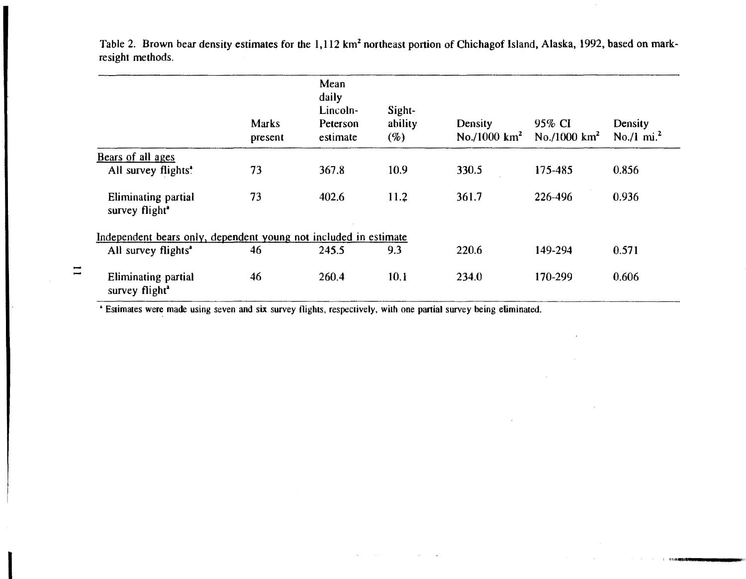Table 2. Brown bear density estimates for the 1,112 km<sup>2</sup> northeast portion of Chichagof Island, Alaska, 1992, based on markresight methods.

|                          |                                                                  | <b>Marks</b><br>present | Mean<br>daily<br>Lincoln-<br>Peterson<br>estimate | Sight-<br>ability<br>(%) | Density<br>No./1000 km <sup>2</sup> | 95% CI<br>No./1000 km <sup>2</sup> | Density<br>No./1 mi. <sup>2</sup> |  |  |  |
|--------------------------|------------------------------------------------------------------|-------------------------|---------------------------------------------------|--------------------------|-------------------------------------|------------------------------------|-----------------------------------|--|--|--|
|                          | Bears of all ages                                                |                         |                                                   |                          |                                     |                                    |                                   |  |  |  |
|                          | All survey flights <sup>*</sup>                                  | 73                      | 367.8                                             | 10.9                     | 330.5                               | 175-485                            | 0.856                             |  |  |  |
|                          | Eliminating partial<br>survey flight <sup>®</sup>                | 73                      | 402.6                                             | 11.2                     | 361.7                               | 226-496                            | 0.936                             |  |  |  |
|                          | Independent bears only, dependent young not included in estimate |                         |                                                   |                          |                                     |                                    |                                   |  |  |  |
|                          | All survey flights <sup>a</sup>                                  | 46                      | 245.5                                             | 9.3                      | 220.6                               | 149-294                            | 0.571                             |  |  |  |
| $\overline{\phantom{0}}$ | Eliminating partial<br>survey flight <sup>a</sup>                | 46                      | 260.4                                             | 10.1                     | 234.0                               | 170-299                            | 0.606                             |  |  |  |

I !llllllflllll!Qitl\_\_\_\_

• Estimates were made using seven and six survey flights, respectively, with one partial survey being eliminated.